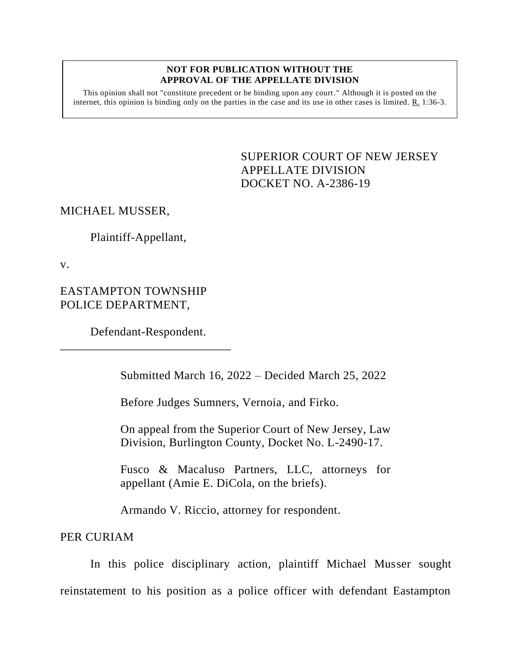#### **NOT FOR PUBLICATION WITHOUT THE APPROVAL OF THE APPELLATE DIVISION**

This opinion shall not "constitute precedent or be binding upon any court." Although it is posted on the internet, this opinion is binding only on the parties in the case and its use in other cases is limited. R. 1:36-3.

> <span id="page-0-0"></span>SUPERIOR COURT OF NEW JERSEY APPELLATE DIVISION DOCKET NO. A-2386-19

# MICHAEL MUSSER,

Plaintiff-Appellant,

v.

EASTAMPTON TOWNSHIP POLICE DEPARTMENT,

Defendant-Respondent. \_\_\_\_\_\_\_\_\_\_\_\_\_\_\_\_\_\_\_\_\_\_\_\_\_\_\_\_

Submitted March 16, 2022 – Decided March 25, 2022

Before Judges Sumners, Vernoia, and Firko.

On appeal from the Superior Court of New Jersey, Law Division, Burlington County, Docket No. L-2490-17.

Fusco & Macaluso Partners, LLC, attorneys for appellant (Amie E. DiCola, on the briefs).

Armando V. Riccio, attorney for respondent.

PER CURIAM

In this police disciplinary action, plaintiff Michael Musser sought reinstatement to his position as a police officer with defendant Eastampton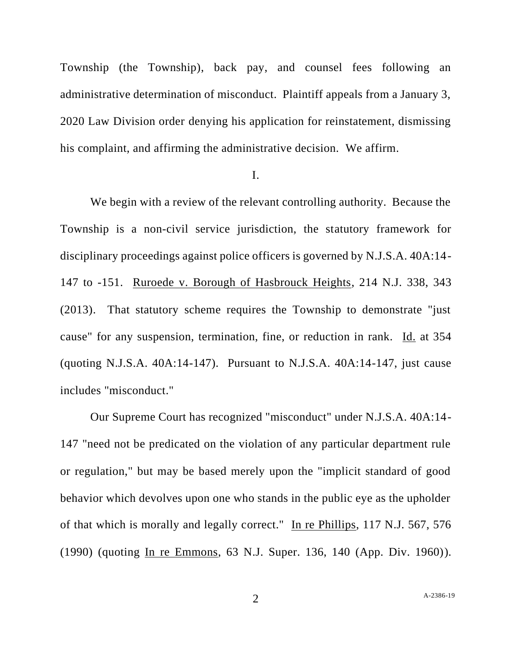Township (the Township), back pay, and counsel fees following an administrative determination of misconduct. Plaintiff appeals from a January 3, 2020 Law Division order denying his application for reinstatement, dismissing his complaint, and affirming the administrative decision. We affirm.

I.

We begin with a review of the relevant controlling authority. Because the Township is a non-civil service jurisdiction, the statutory framework for disciplinary proceedings against police officers is governed by N.J.S.A. 40A:14- 147 to -151. Ruroede v. Borough of Hasbrouck Heights, 214 N.J. 338, 343 (2013). That statutory scheme requires the Township to demonstrate "just cause" for any suspension, termination, fine, or reduction in rank. Id. at 354 (quoting N.J.S.A. 40A:14-147). Pursuant to N.J.S.A. 40A:14-147, just cause includes "misconduct."

Our Supreme Court has recognized "misconduct" under N.J.S.A. 40A:14- 147 "need not be predicated on the violation of any particular department rule or regulation," but may be based merely upon the "implicit standard of good behavior which devolves upon one who stands in the public eye as the upholder of that which is morally and legally correct." In re Phillips, 117 N.J. 567, 576 (1990) (quoting In re Emmons, 63 N.J. Super. 136, 140 (App. Div. 1960)).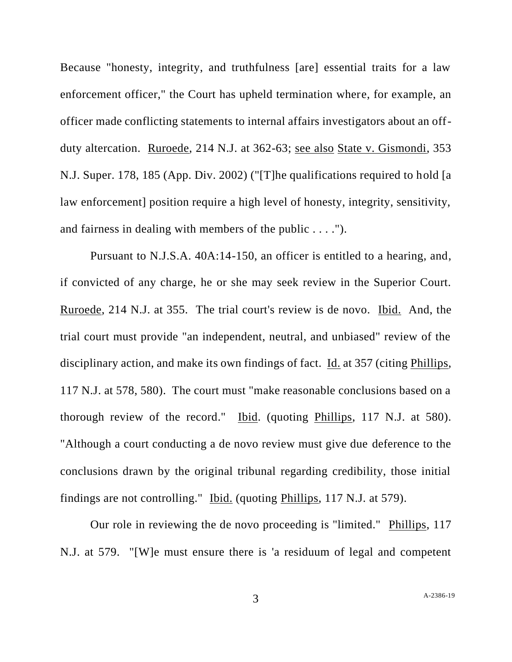Because "honesty, integrity, and truthfulness [are] essential traits for a law enforcement officer," the Court has upheld termination where, for example, an officer made conflicting statements to internal affairs investigators about an offduty altercation. Ruroede, 214 N.J. at 362-63; see also State v. Gismondi, 353 N.J. Super. 178, 185 (App. Div. 2002) ("[T]he qualifications required to hold [a law enforcement] position require a high level of honesty, integrity, sensitivity, and fairness in dealing with members of the public . . . .").

Pursuant to N.J.S.A. 40A:14-150, an officer is entitled to a hearing, and, if convicted of any charge, he or she may seek review in the Superior Court. Ruroede, 214 N.J. at 355. The trial court's review is de novo. Ibid. And, the trial court must provide "an independent, neutral, and unbiased" review of the disciplinary action, and make its own findings of fact. Id. at 357 (citing Phillips, 117 N.J. at 578, 580). The court must "make reasonable conclusions based on a thorough review of the record." Ibid. (quoting Phillips, 117 N.J. at 580). "Although a court conducting a de novo review must give due deference to the conclusions drawn by the original tribunal regarding credibility, those initial findings are not controlling." Ibid. (quoting Phillips, 117 N.J. at 579).

Our role in reviewing the de novo proceeding is "limited." Phillips, 117 N.J. at 579. "[W]e must ensure there is 'a residuum of legal and competent

3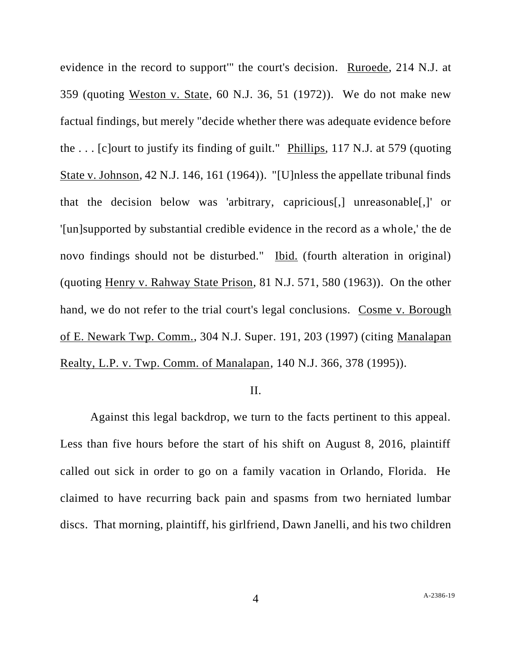evidence in the record to support'" the court's decision. Ruroede, 214 N.J. at 359 (quoting Weston v. State, 60 N.J. 36, 51 (1972)). We do not make new factual findings, but merely "decide whether there was adequate evidence before the . . . [c]ourt to justify its finding of guilt." Phillips, 117 N.J. at 579 (quoting State v. Johnson, 42 N.J. 146, 161 (1964)). "[U]nless the appellate tribunal finds that the decision below was 'arbitrary, capricious[,] unreasonable[,]' or '[un]supported by substantial credible evidence in the record as a whole,' the de novo findings should not be disturbed." Ibid. (fourth alteration in original) (quoting Henry v. Rahway State Prison, 81 N.J. 571, 580 (1963)). On the other hand, we do not refer to the trial court's legal conclusions. Cosme v. Borough of E. Newark Twp. Comm., 304 N.J. Super. 191, 203 (1997) (citing Manalapan Realty, L.P. v. Twp. Comm. of Manalapan, 140 N.J. 366, 378 (1995)).

# II.

Against this legal backdrop, we turn to the facts pertinent to this appeal. Less than five hours before the start of his shift on August 8, 2016, plaintiff called out sick in order to go on a family vacation in Orlando, Florida. He claimed to have recurring back pain and spasms from two herniated lumbar discs. That morning, plaintiff, his girlfriend, Dawn Janelli, and his two children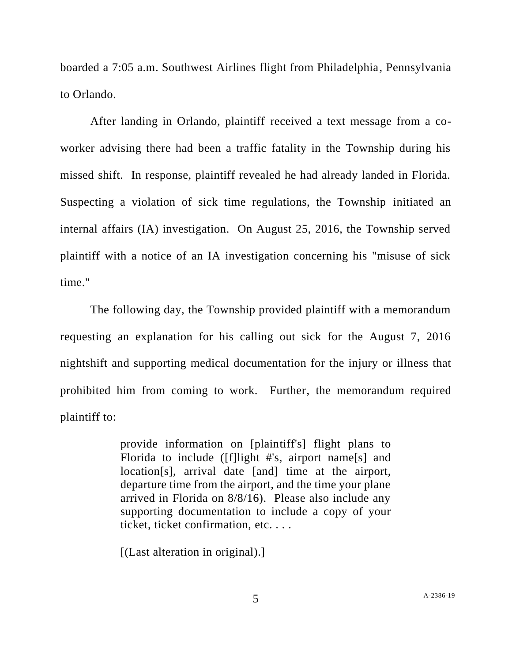boarded a 7:05 a.m. Southwest Airlines flight from Philadelphia, Pennsylvania to Orlando.

After landing in Orlando, plaintiff received a text message from a coworker advising there had been a traffic fatality in the Township during his missed shift. In response, plaintiff revealed he had already landed in Florida. Suspecting a violation of sick time regulations, the Township initiated an internal affairs (IA) investigation. On August 25, 2016, the Township served plaintiff with a notice of an IA investigation concerning his "misuse of sick time."

The following day, the Township provided plaintiff with a memorandum requesting an explanation for his calling out sick for the August 7, 2016 nightshift and supporting medical documentation for the injury or illness that prohibited him from coming to work. Further, the memorandum required plaintiff to:

> provide information on [plaintiff's] flight plans to Florida to include ([f]light #'s, airport name[s] and location[s], arrival date [and] time at the airport, departure time from the airport, and the time your plane arrived in Florida on 8/8/16). Please also include any supporting documentation to include a copy of your ticket, ticket confirmation, etc. . . .

[(Last alteration in original).]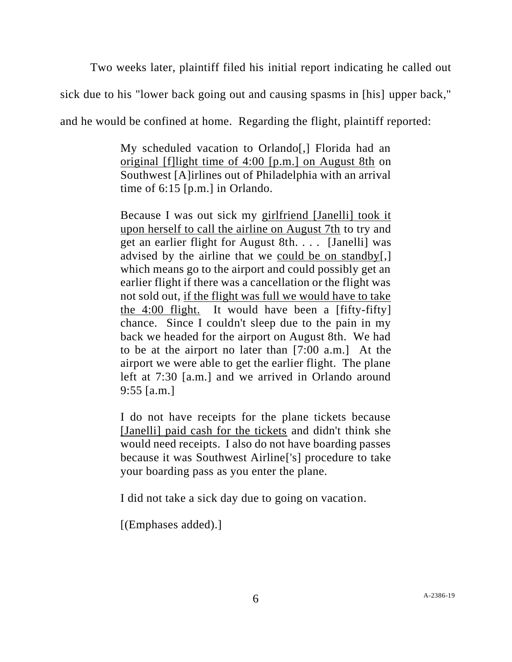Two weeks later, plaintiff filed his initial report indicating he called out

sick due to his "lower back going out and causing spasms in [his] upper back,"

and he would be confined at home. Regarding the flight, plaintiff reported:

My scheduled vacation to Orlando[,] Florida had an original [f]light time of 4:00 [p.m.] on August 8th on Southwest [A]irlines out of Philadelphia with an arrival time of 6:15 [p.m.] in Orlando.

Because I was out sick my girlfriend [Janelli] took it upon herself to call the airline on August 7th to try and get an earlier flight for August 8th. . . . [Janelli] was advised by the airline that we could be on standby[,] which means go to the airport and could possibly get an earlier flight if there was a cancellation or the flight was not sold out, if the flight was full we would have to take the 4:00 flight. It would have been a [fifty-fifty] chance. Since I couldn't sleep due to the pain in my back we headed for the airport on August 8th. We had to be at the airport no later than [7:00 a.m.] At the airport we were able to get the earlier flight. The plane left at 7:30 [a.m.] and we arrived in Orlando around 9:55 [a.m.]

I do not have receipts for the plane tickets because [Janelli] paid cash for the tickets and didn't think she would need receipts. I also do not have boarding passes because it was Southwest Airline['s] procedure to take your boarding pass as you enter the plane.

I did not take a sick day due to going on vacation.

[(Emphases added).]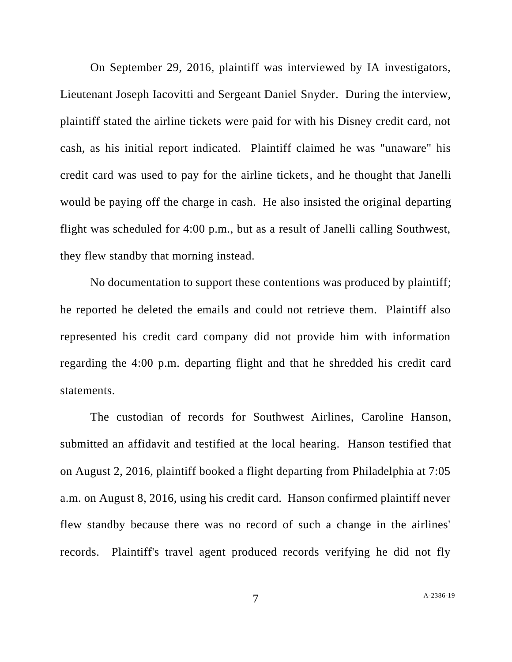On September 29, 2016, plaintiff was interviewed by IA investigators, Lieutenant Joseph Iacovitti and Sergeant Daniel Snyder. During the interview, plaintiff stated the airline tickets were paid for with his Disney credit card, not cash, as his initial report indicated. Plaintiff claimed he was "unaware" his credit card was used to pay for the airline tickets, and he thought that Janelli would be paying off the charge in cash. He also insisted the original departing flight was scheduled for 4:00 p.m., but as a result of Janelli calling Southwest, they flew standby that morning instead.

No documentation to support these contentions was produced by plaintiff; he reported he deleted the emails and could not retrieve them. Plaintiff also represented his credit card company did not provide him with information regarding the 4:00 p.m. departing flight and that he shredded his credit card statements.

The custodian of records for Southwest Airlines, Caroline Hanson, submitted an affidavit and testified at the local hearing. Hanson testified that on August 2, 2016, plaintiff booked a flight departing from Philadelphia at 7:05 a.m. on August 8, 2016, using his credit card. Hanson confirmed plaintiff never flew standby because there was no record of such a change in the airlines' records. Plaintiff's travel agent produced records verifying he did not fly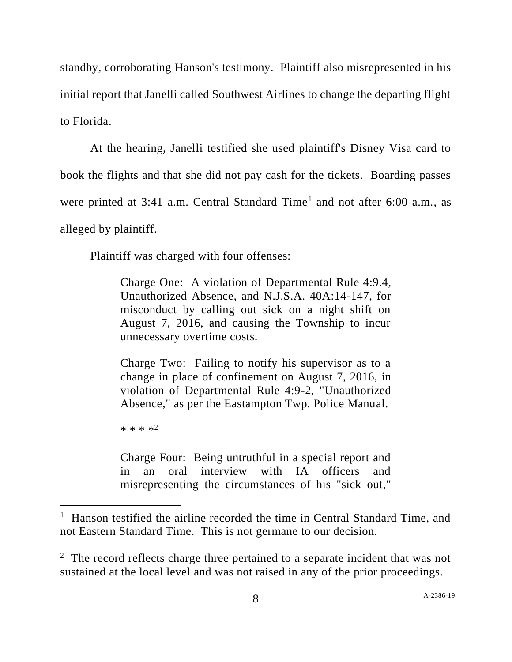standby, corroborating Hanson's testimony. Plaintiff also misrepresented in his initial report that Janelli called Southwest Airlines to change the departing flight to Florida.

At the hearing, Janelli testified she used plaintiff's Disney Visa card to book the flights and that she did not pay cash for the tickets. Boarding passes were printed at 3:41 a.m. Central Standard Time<sup>1</sup> and not after 6:00 a.m., as alleged by plaintiff.

Plaintiff was charged with four offenses:

Charge One: A violation of Departmental Rule 4:9.4, Unauthorized Absence, and N.J.S.A. 40A:14-147, for misconduct by calling out sick on a night shift on August 7, 2016, and causing the Township to incur unnecessary overtime costs.

Charge Two: Failing to notify his supervisor as to a change in place of confinement on August 7, 2016, in violation of Departmental Rule 4:9-2, "Unauthorized Absence," as per the Eastampton Twp. Police Manual.

\* \* \* \*<sup>2</sup>

Charge Four: Being untruthful in a special report and in an oral interview with IA officers and misrepresenting the circumstances of his "sick out,"

<sup>&</sup>lt;sup>1</sup> Hanson testified the airline recorded the time in Central Standard Time, and not Eastern Standard Time. This is not germane to our decision.

 $2<sup>2</sup>$  The record reflects charge three pertained to a separate incident that was not sustained at the local level and was not raised in any of the prior proceedings.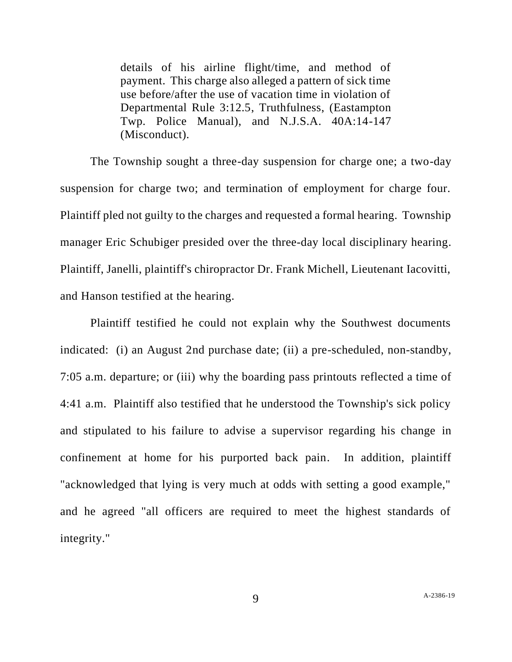details of his airline flight/time, and method of payment. This charge also alleged a pattern of sick time use before/after the use of vacation time in violation of Departmental Rule 3:12.5, Truthfulness, (Eastampton Twp. Police Manual), and N.J.S.A. 40A:14-147 (Misconduct).

The Township sought a three-day suspension for charge one; a two-day suspension for charge two; and termination of employment for charge four. Plaintiff pled not guilty to the charges and requested a formal hearing. Township manager Eric Schubiger presided over the three-day local disciplinary hearing. Plaintiff, Janelli, plaintiff's chiropractor Dr. Frank Michell, Lieutenant Iacovitti, and Hanson testified at the hearing.

Plaintiff testified he could not explain why the Southwest documents indicated: (i) an August 2nd purchase date; (ii) a pre-scheduled, non-standby, 7:05 a.m. departure; or (iii) why the boarding pass printouts reflected a time of 4:41 a.m. Plaintiff also testified that he understood the Township's sick policy and stipulated to his failure to advise a supervisor regarding his change in confinement at home for his purported back pain. In addition, plaintiff "acknowledged that lying is very much at odds with setting a good example," and he agreed "all officers are required to meet the highest standards of integrity."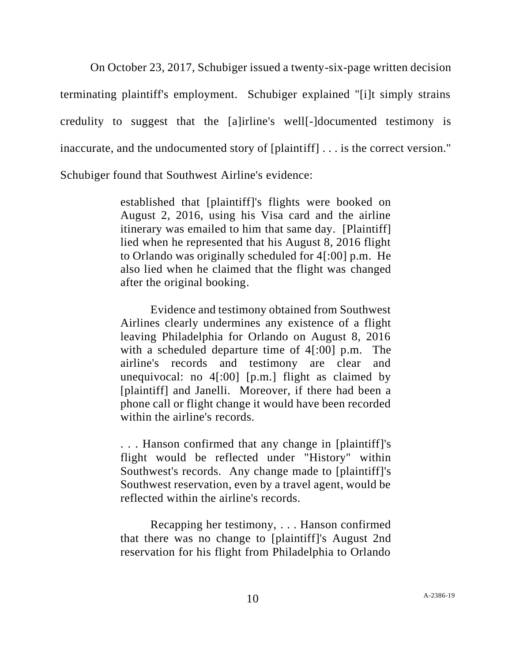On October 23, 2017, Schubiger issued a twenty-six-page written decision terminating plaintiff's employment. Schubiger explained "[i]t simply strains credulity to suggest that the [a]irline's well[-]documented testimony is inaccurate, and the undocumented story of [plaintiff] . . . is the correct version." Schubiger found that Southwest Airline's evidence:

> established that [plaintiff]'s flights were booked on August 2, 2016, using his Visa card and the airline itinerary was emailed to him that same day. [Plaintiff] lied when he represented that his August 8, 2016 flight to Orlando was originally scheduled for 4[:00] p.m. He also lied when he claimed that the flight was changed after the original booking.

> Evidence and testimony obtained from Southwest Airlines clearly undermines any existence of a flight leaving Philadelphia for Orlando on August 8, 2016 with a scheduled departure time of 4[:00] p.m. The airline's records and testimony are clear and unequivocal: no 4[:00] [p.m.] flight as claimed by [plaintiff] and Janelli. Moreover, if there had been a phone call or flight change it would have been recorded within the airline's records.

> . . . Hanson confirmed that any change in [plaintiff]'s flight would be reflected under "History" within Southwest's records. Any change made to [plaintiff]'s Southwest reservation, even by a travel agent, would be reflected within the airline's records.

> Recapping her testimony, . . . Hanson confirmed that there was no change to [plaintiff]'s August 2nd reservation for his flight from Philadelphia to Orlando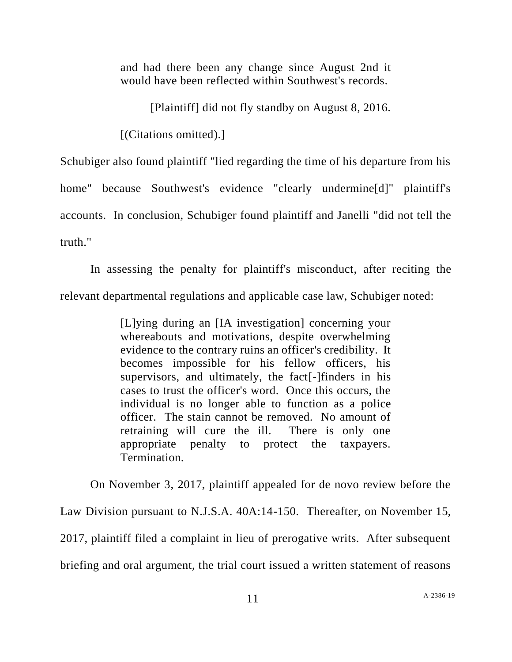and had there been any change since August 2nd it would have been reflected within Southwest's records.

[Plaintiff] did not fly standby on August 8, 2016.

[(Citations omitted).]

Schubiger also found plaintiff "lied regarding the time of his departure from his home" because Southwest's evidence "clearly undermine[d]" plaintiff's accounts. In conclusion, Schubiger found plaintiff and Janelli "did not tell the truth."

In assessing the penalty for plaintiff's misconduct, after reciting the relevant departmental regulations and applicable case law, Schubiger noted:

> [L]ying during an [IA investigation] concerning your whereabouts and motivations, despite overwhelming evidence to the contrary ruins an officer's credibility. It becomes impossible for his fellow officers, his supervisors, and ultimately, the fact[-]finders in his cases to trust the officer's word. Once this occurs, the individual is no longer able to function as a police officer. The stain cannot be removed. No amount of retraining will cure the ill. There is only one appropriate penalty to protect the taxpayers. Termination.

On November 3, 2017, plaintiff appealed for de novo review before the Law Division pursuant to N.J.S.A. 40A:14-150. Thereafter, on November 15, 2017, plaintiff filed a complaint in lieu of prerogative writs. After subsequent briefing and oral argument, the trial court issued a written statement of reasons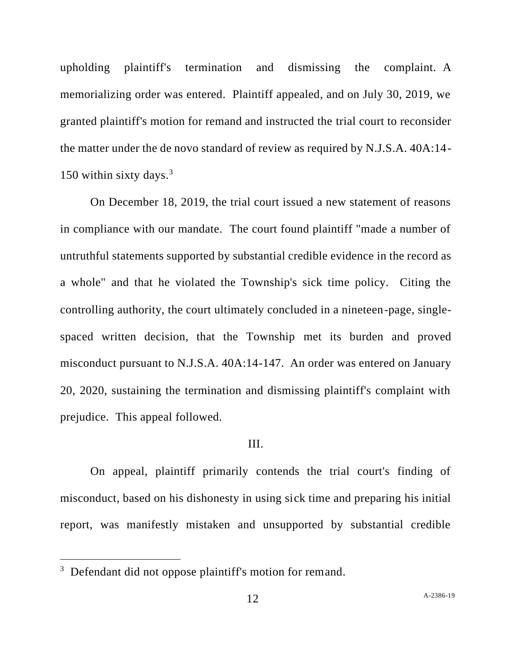upholding plaintiff's termination and dismissing the complaint. A memorializing order was entered. Plaintiff appealed, and on July 30, 2019, we granted plaintiff's motion for remand and instructed the trial court to reconsider the matter under the de novo standard of review as required by N.J.S.A. 40A:14- 150 within sixty days.<sup>3</sup>

On December 18, 2019, the trial court issued a new statement of reasons in compliance with our mandate. The court found plaintiff "made a number of untruthful statements supported by substantial credible evidence in the record as a whole" and that he violated the Township's sick time policy. Citing the controlling authority, the court ultimately concluded in a nineteen-page, singlespaced written decision, that the Township met its burden and proved misconduct pursuant to N.J.S.A. 40A:14-147. An order was entered on January 20, 2020, sustaining the termination and dismissing plaintiff's complaint with prejudice. This appeal followed.

## III.

On appeal, plaintiff primarily contends the trial court's finding of misconduct, based on his dishonesty in using sick time and preparing his initial report, was manifestly mistaken and unsupported by substantial credible

<sup>&</sup>lt;sup>3</sup> Defendant did not oppose plaintiff's motion for remand.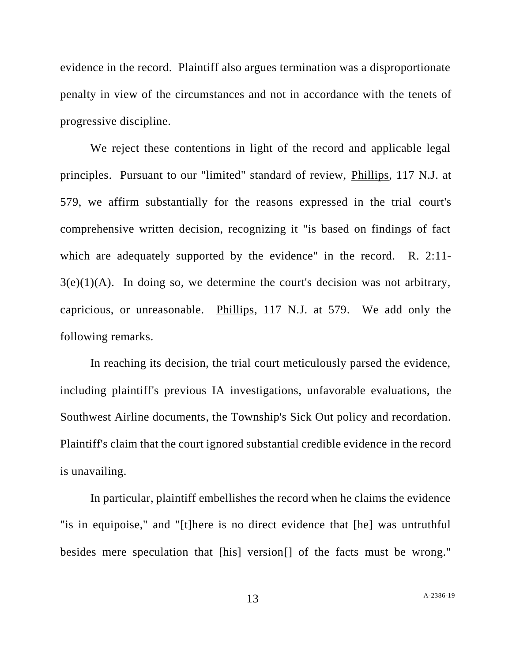evidence in the record. Plaintiff also argues termination was a disproportionate penalty in view of the circumstances and not in accordance with the tenets of progressive discipline.

We reject these contentions in light of the record and applicable legal principles. Pursuant to our "limited" standard of review, Phillips, 117 N.J. at 579, we affirm substantially for the reasons expressed in the trial court's comprehensive written decision, recognizing it "is based on findings of fact which are adequately supported by the evidence" in the record. R. 2:11- $3(e)(1)(A)$ . In doing so, we determine the court's decision was not arbitrary, capricious, or unreasonable. Phillips, 117 N.J. at 579. We add only the following remarks.

In reaching its decision, the trial court meticulously parsed the evidence, including plaintiff's previous IA investigations, unfavorable evaluations, the Southwest Airline documents, the Township's Sick Out policy and recordation. Plaintiff's claim that the court ignored substantial credible evidence in the record is unavailing.

In particular, plaintiff embellishes the record when he claims the evidence "is in equipoise," and "[t]here is no direct evidence that [he] was untruthful besides mere speculation that [his] version[] of the facts must be wrong."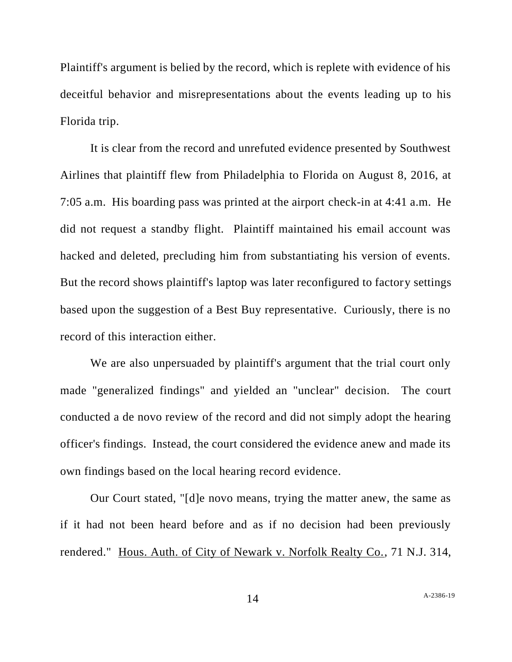Plaintiff's argument is belied by the record, which is replete with evidence of his deceitful behavior and misrepresentations about the events leading up to his Florida trip.

It is clear from the record and unrefuted evidence presented by Southwest Airlines that plaintiff flew from Philadelphia to Florida on August 8, 2016, at 7:05 a.m. His boarding pass was printed at the airport check-in at 4:41 a.m. He did not request a standby flight. Plaintiff maintained his email account was hacked and deleted, precluding him from substantiating his version of events. But the record shows plaintiff's laptop was later reconfigured to factory settings based upon the suggestion of a Best Buy representative. Curiously, there is no record of this interaction either.

We are also unpersuaded by plaintiff's argument that the trial court only made "generalized findings" and yielded an "unclear" decision. The court conducted a de novo review of the record and did not simply adopt the hearing officer's findings. Instead, the court considered the evidence anew and made its own findings based on the local hearing record evidence.

Our Court stated, "[d]e novo means, trying the matter anew, the same as if it had not been heard before and as if no decision had been previously rendered." Hous. Auth. of City of Newark v. Norfolk Realty Co., 71 N.J. 314,

14 A[-2386-19](#page-0-0)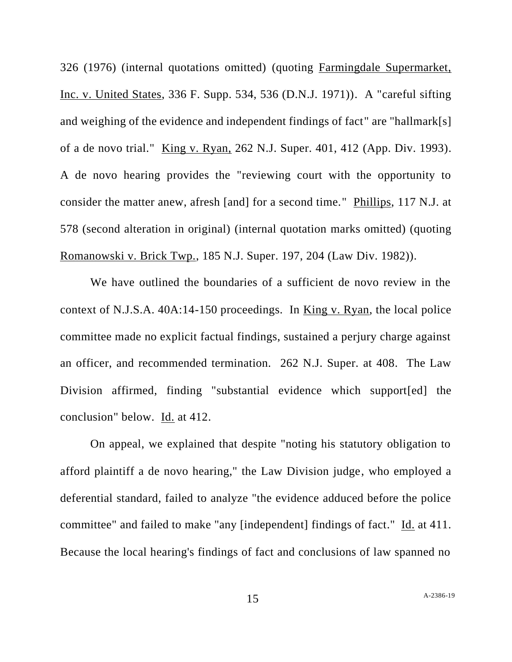326 (1976) (internal quotations omitted) (quoting Farmingdale Supermarket, Inc. v. United States, 336 F. Supp. 534, 536 (D.N.J. 1971)). A "careful sifting and weighing of the evidence and independent findings of fact" are "hallmark[s] of a de novo trial." King v. Ryan, 262 N.J. Super. 401, 412 (App. Div. 1993). A de novo hearing provides the "reviewing court with the opportunity to consider the matter anew, afresh [and] for a second time." Phillips, 117 N.J. at 578 (second alteration in original) (internal quotation marks omitted) (quoting Romanowski v. Brick Twp., 185 N.J. Super. 197, 204 (Law Div. 1982)).

We have outlined the boundaries of a sufficient de novo review in the context of N.J.S.A. 40A:14-150 proceedings. In King v. Ryan, the local police committee made no explicit factual findings, sustained a perjury charge against an officer, and recommended termination. 262 N.J. Super. at 408. The Law Division affirmed, finding "substantial evidence which support[ed] the conclusion" below. Id. at 412.

On appeal, we explained that despite "noting his statutory obligation to afford plaintiff a de novo hearing," the Law Division judge, who employed a deferential standard, failed to analyze "the evidence adduced before the police committee" and failed to make "any [independent] findings of fact." Id. at 411. Because the local hearing's findings of fact and conclusions of law spanned no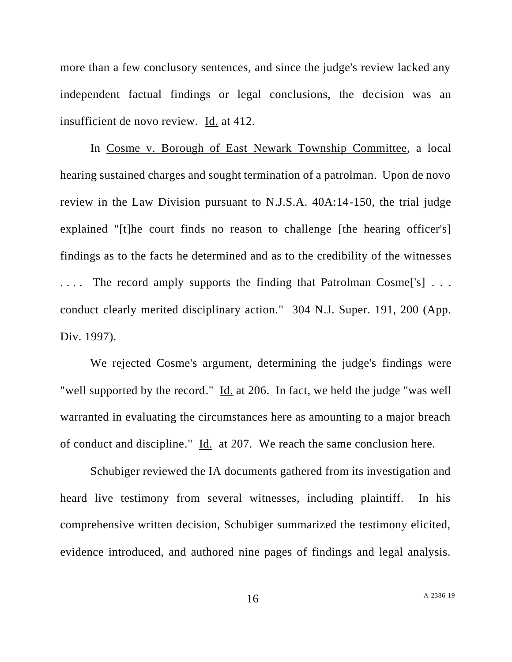more than a few conclusory sentences, and since the judge's review lacked any independent factual findings or legal conclusions, the decision was an insufficient de novo review. Id. at 412.

In Cosme v. Borough of East Newark Township Committee, a local hearing sustained charges and sought termination of a patrolman. Upon de novo review in the Law Division pursuant to N.J.S.A. 40A:14-150, the trial judge explained "[t]he court finds no reason to challenge [the hearing officer's] findings as to the facts he determined and as to the credibility of the witnesses .... The record amply supports the finding that Patrolman Cosme<sup>rupt</sup> ... conduct clearly merited disciplinary action." 304 N.J. Super. 191, 200 (App. Div. 1997).

We rejected Cosme's argument, determining the judge's findings were "well supported by the record." Id. at 206. In fact, we held the judge "was well warranted in evaluating the circumstances here as amounting to a major breach of conduct and discipline." Id. at 207. We reach the same conclusion here.

Schubiger reviewed the IA documents gathered from its investigation and heard live testimony from several witnesses, including plaintiff. In his comprehensive written decision, Schubiger summarized the testimony elicited, evidence introduced, and authored nine pages of findings and legal analysis.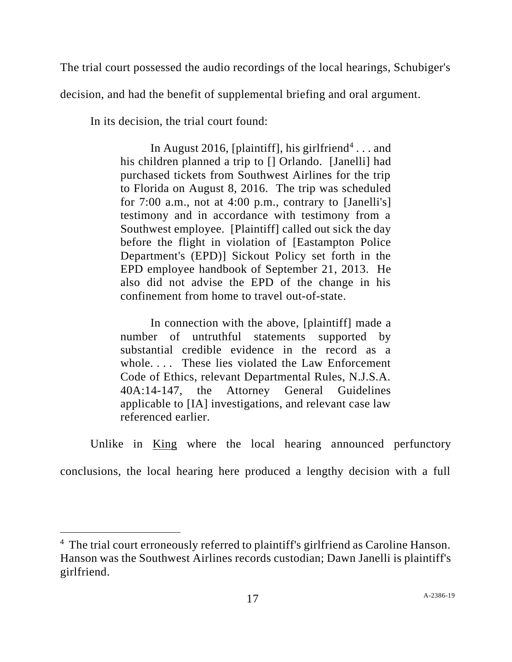The trial court possessed the audio recordings of the local hearings, Schubiger's

decision, and had the benefit of supplemental briefing and oral argument.

In its decision, the trial court found:

In August 2016, [plaintiff], his girlfriend<sup>4</sup>... and his children planned a trip to [] Orlando. [Janelli] had purchased tickets from Southwest Airlines for the trip to Florida on August 8, 2016. The trip was scheduled for 7:00 a.m., not at 4:00 p.m., contrary to [Janelli's] testimony and in accordance with testimony from a Southwest employee. [Plaintiff] called out sick the day before the flight in violation of [Eastampton Police Department's (EPD)] Sickout Policy set forth in the EPD employee handbook of September 21, 2013. He also did not advise the EPD of the change in his confinement from home to travel out-of-state.

In connection with the above, [plaintiff] made a number of untruthful statements supported by substantial credible evidence in the record as a whole. . . . These lies violated the Law Enforcement Code of Ethics, relevant Departmental Rules, N.J.S.A. 40A:14-147, the Attorney General Guidelines applicable to [IA] investigations, and relevant case law referenced earlier.

Unlike in King where the local hearing announced perfunctory

conclusions, the local hearing here produced a lengthy decision with a full

<sup>&</sup>lt;sup>4</sup> The trial court erroneously referred to plaintiff's girlfriend as Caroline Hanson. Hanson was the Southwest Airlines records custodian; Dawn Janelli is plaintiff's girlfriend.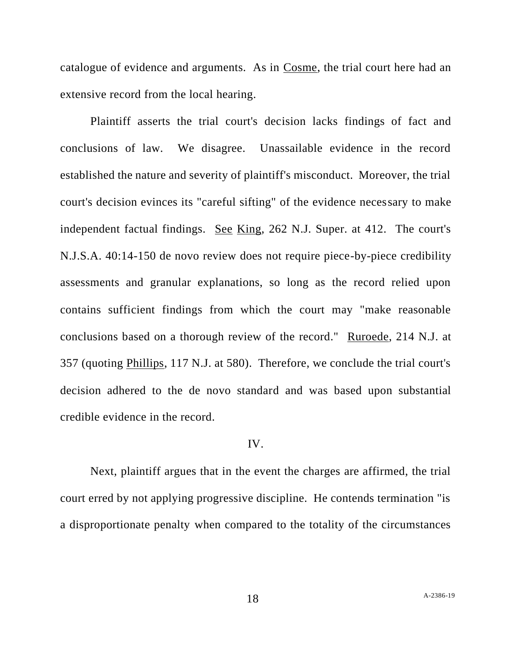catalogue of evidence and arguments. As in Cosme, the trial court here had an extensive record from the local hearing.

Plaintiff asserts the trial court's decision lacks findings of fact and conclusions of law. We disagree. Unassailable evidence in the record established the nature and severity of plaintiff's misconduct. Moreover, the trial court's decision evinces its "careful sifting" of the evidence necessary to make independent factual findings. See King, 262 N.J. Super. at 412. The court's N.J.S.A. 40:14-150 de novo review does not require piece-by-piece credibility assessments and granular explanations, so long as the record relied upon contains sufficient findings from which the court may "make reasonable conclusions based on a thorough review of the record." Ruroede, 214 N.J. at 357 (quoting Phillips, 117 N.J. at 580). Therefore, we conclude the trial court's decision adhered to the de novo standard and was based upon substantial credible evidence in the record.

## IV.

Next, plaintiff argues that in the event the charges are affirmed, the trial court erred by not applying progressive discipline. He contends termination "is a disproportionate penalty when compared to the totality of the circumstances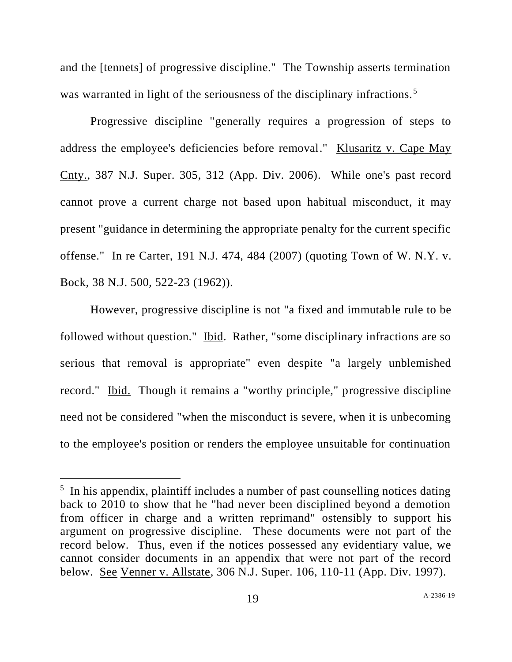and the [tennets] of progressive discipline." The Township asserts termination was warranted in light of the seriousness of the disciplinary infractions.<sup>5</sup>

Progressive discipline "generally requires a progression of steps to address the employee's deficiencies before removal." Klusaritz v. Cape May Cnty., 387 N.J. Super. 305, 312 (App. Div. 2006). While one's past record cannot prove a current charge not based upon habitual misconduct, it may present "guidance in determining the appropriate penalty for the current specific offense." In re Carter, 191 N.J. 474, 484 (2007) (quoting Town of W. N.Y. v. Bock, 38 N.J. 500, 522-23 (1962)).

However, progressive discipline is not "a fixed and immutable rule to be followed without question." Ibid. Rather, "some disciplinary infractions are so serious that removal is appropriate" even despite "a largely unblemished record." Ibid. Though it remains a "worthy principle," progressive discipline need not be considered "when the misconduct is severe, when it is unbecoming to the employee's position or renders the employee unsuitable for continuation

<sup>&</sup>lt;sup>5</sup> In his appendix, plaintiff includes a number of past counselling notices dating back to 2010 to show that he "had never been disciplined beyond a demotion from officer in charge and a written reprimand" ostensibly to support his argument on progressive discipline. These documents were not part of the record below. Thus, even if the notices possessed any evidentiary value, we cannot consider documents in an appendix that were not part of the record below. See Venner v. Allstate, 306 N.J. Super. 106, 110-11 (App. Div. 1997).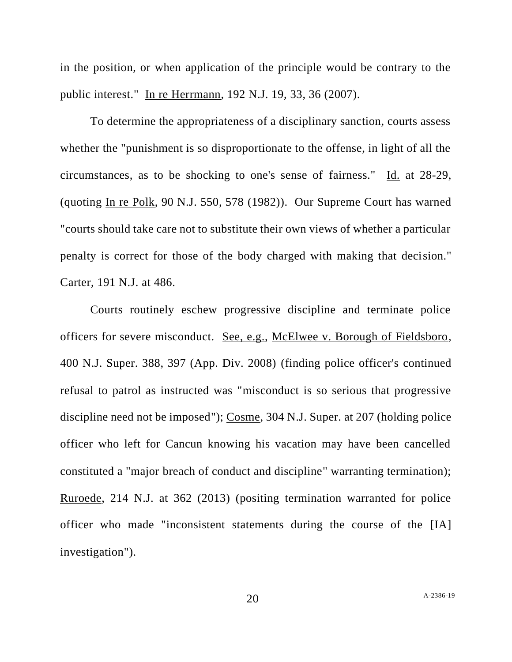in the position, or when application of the principle would be contrary to the public interest." In re Herrmann, 192 N.J. 19, 33, 36 (2007).

To determine the appropriateness of a disciplinary sanction, courts assess whether the "punishment is so disproportionate to the offense, in light of all the circumstances, as to be shocking to one's sense of fairness." Id. at 28-29, (quoting In re Polk, 90 N.J. 550, 578 (1982)). Our Supreme Court has warned "courts should take care not to substitute their own views of whether a particular penalty is correct for those of the body charged with making that decision." Carter, 191 N.J. at 486.

Courts routinely eschew progressive discipline and terminate police officers for severe misconduct. See, e.g., McElwee v. Borough of Fieldsboro, 400 N.J. Super. 388, 397 (App. Div. 2008) (finding police officer's continued refusal to patrol as instructed was "misconduct is so serious that progressive discipline need not be imposed"); Cosme, 304 N.J. Super. at 207 (holding police officer who left for Cancun knowing his vacation may have been cancelled constituted a "major breach of conduct and discipline" warranting termination); Ruroede, 214 N.J. at 362 (2013) (positing termination warranted for police officer who made "inconsistent statements during the course of the [IA] investigation").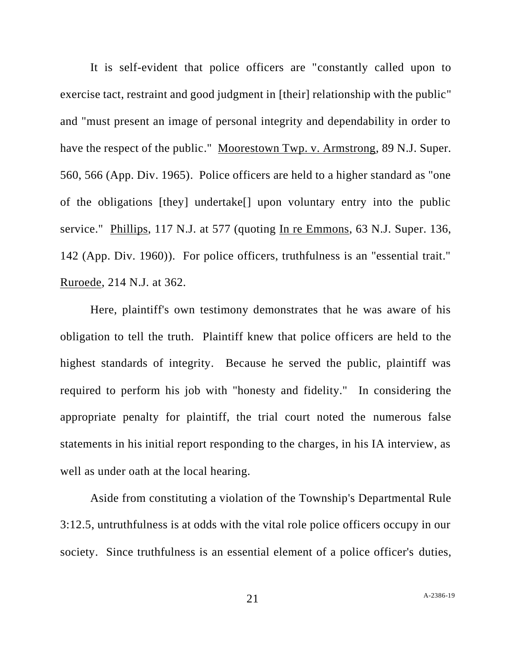It is self-evident that police officers are "constantly called upon to exercise tact, restraint and good judgment in [their] relationship with the public" and "must present an image of personal integrity and dependability in order to have the respect of the public." Moorestown Twp. v. Armstrong, 89 N.J. Super. 560, 566 (App. Div. 1965). Police officers are held to a higher standard as "one of the obligations [they] undertake[] upon voluntary entry into the public service." Phillips, 117 N.J. at 577 (quoting In re Emmons, 63 N.J. Super. 136, 142 (App. Div. 1960)). For police officers, truthfulness is an "essential trait." Ruroede, 214 N.J. at 362.

Here, plaintiff's own testimony demonstrates that he was aware of his obligation to tell the truth. Plaintiff knew that police officers are held to the highest standards of integrity. Because he served the public, plaintiff was required to perform his job with "honesty and fidelity." In considering the appropriate penalty for plaintiff, the trial court noted the numerous false statements in his initial report responding to the charges, in his IA interview, as well as under oath at the local hearing.

Aside from constituting a violation of the Township's Departmental Rule 3:12.5, untruthfulness is at odds with the vital role police officers occupy in our society. Since truthfulness is an essential element of a police officer's duties,